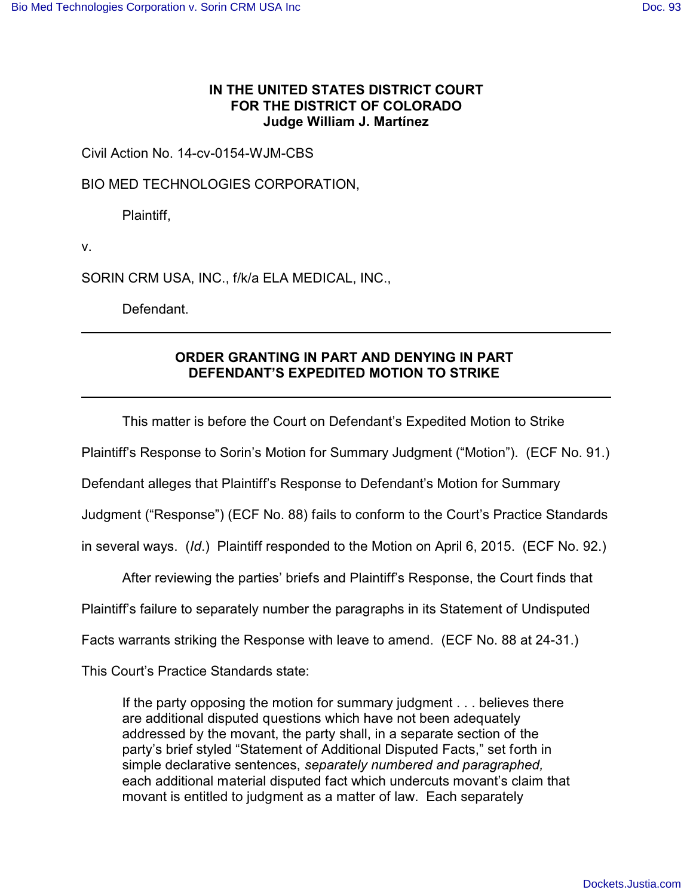## **IN THE UNITED STATES DISTRICT COURT FOR THE DISTRICT OF COLORADO Judge William J. Martínez**

Civil Action No. 14-cv-0154-WJM-CBS

BIO MED TECHNOLOGIES CORPORATION,

Plaintiff,

v.

SORIN CRM USA, INC., f/k/a ELA MEDICAL, INC.,

Defendant.

## **ORDER GRANTING IN PART AND DENYING IN PART DEFENDANT'S EXPEDITED MOTION TO STRIKE**

This matter is before the Court on Defendant's Expedited Motion to Strike

Plaintiff's Response to Sorin's Motion for Summary Judgment ("Motion"). (ECF No. 91.)

Defendant alleges that Plaintiff's Response to Defendant's Motion for Summary

Judgment ("Response") (ECF No. 88) fails to conform to the Court's Practice Standards

in several ways. (*Id*.) Plaintiff responded to the Motion on April 6, 2015. (ECF No. 92.)

After reviewing the parties' briefs and Plaintiff's Response, the Court finds that

Plaintiff's failure to separately number the paragraphs in its Statement of Undisputed

Facts warrants striking the Response with leave to amend. (ECF No. 88 at 24-31.)

This Court's Practice Standards state:

If the party opposing the motion for summary judgment . . . believes there are additional disputed questions which have not been adequately addressed by the movant, the party shall, in a separate section of the party's brief styled "Statement of Additional Disputed Facts," set forth in simple declarative sentences, *separately numbered and paragraphed,* each additional material disputed fact which undercuts movant's claim that movant is entitled to judgment as a matter of law. Each separately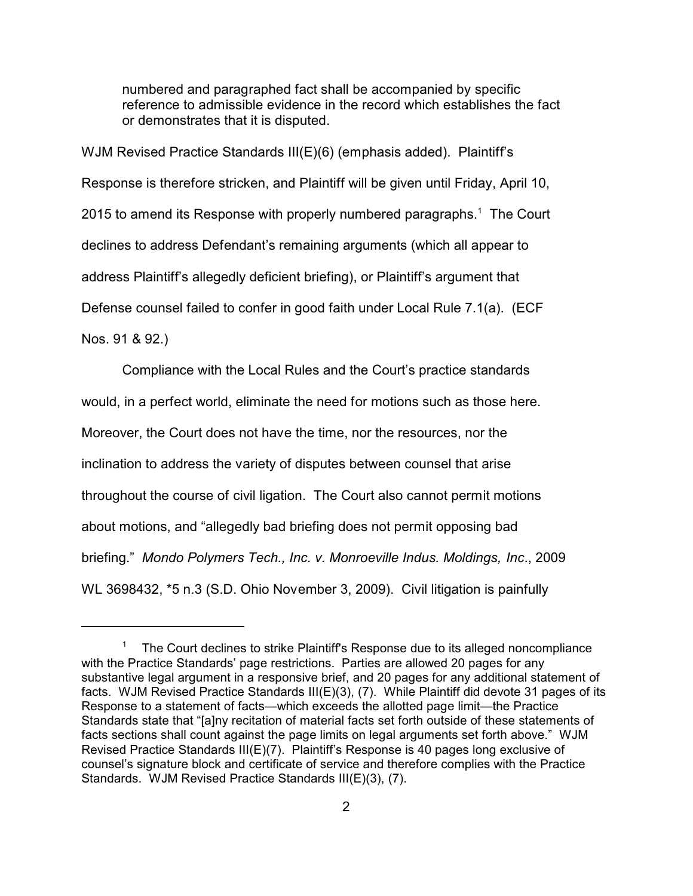numbered and paragraphed fact shall be accompanied by specific reference to admissible evidence in the record which establishes the fact or demonstrates that it is disputed.

WJM Revised Practice Standards III(E)(6) (emphasis added). Plaintiff's Response is therefore stricken, and Plaintiff will be given until Friday, April 10, 2015 to amend its Response with properly numbered paragraphs.<sup>1</sup> The Court declines to address Defendant's remaining arguments (which all appear to address Plaintiff's allegedly deficient briefing), or Plaintiff's argument that Defense counsel failed to confer in good faith under Local Rule 7.1(a). (ECF Nos. 91 & 92.)

Compliance with the Local Rules and the Court's practice standards would, in a perfect world, eliminate the need for motions such as those here. Moreover, the Court does not have the time, nor the resources, nor the inclination to address the variety of disputes between counsel that arise throughout the course of civil ligation. The Court also cannot permit motions about motions, and "allegedly bad briefing does not permit opposing bad briefing." *Mondo Polymers Tech., Inc. v. Monroeville Indus. Moldings, Inc*., 2009 WL 3698432, \*5 n.3 (S.D. Ohio November 3, 2009). Civil litigation is painfully

<sup>&</sup>lt;sup>1</sup> The Court declines to strike Plaintiff's Response due to its alleged noncompliance with the Practice Standards' page restrictions. Parties are allowed 20 pages for any substantive legal argument in a responsive brief, and 20 pages for any additional statement of facts. WJM Revised Practice Standards III(E)(3), (7). While Plaintiff did devote 31 pages of its Response to a statement of facts—which exceeds the allotted page limit—the Practice Standards state that "[a]ny recitation of material facts set forth outside of these statements of facts sections shall count against the page limits on legal arguments set forth above." WJM Revised Practice Standards III(E)(7). Plaintiff's Response is 40 pages long exclusive of counsel's signature block and certificate of service and therefore complies with the Practice Standards. WJM Revised Practice Standards III(E)(3), (7).